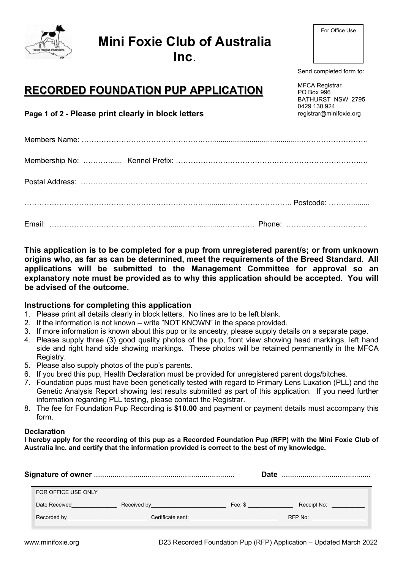# Mini Foxie Club of Australia

Inc.

Send completed form to:

MFCA Registrar PO Box 996 BATHURST NSW 2795 0429 130 924 registrar@minifoxie.org

# RECORDED FOUNDATION PUP APPLICATION

Page 1 of 2 - Please print clearly in block letters

This application is to be completed for a pup from unregistered parent/s; or from unknown origins who, as far as can be determined, meet the requirements of the Breed Standard. All applications will be submitted to the Management Committee for approval so an explanatory note must be provided as to why this application should be accepted. You will be advised of the outcome.

### Instructions for completing this application

- 1. Please print all details clearly in block letters. No lines are to be left blank.
- 2. If the information is not known write "NOT KNOWN" in the space provided.
- 3. If more information is known about this pup or its ancestry, please supply details on a separate page.
- 4. Please supply three (3) good quality photos of the pup, front view showing head markings, left hand side and right hand side showing markings. These photos will be retained permanently in the MFCA Registry.
- 5. Please also supply photos of the pup's parents.
- 6. If you bred this pup, Health Declaration must be provided for unregistered parent dogs/bitches.
- 7. Foundation pups must have been genetically tested with regard to Primary Lens Luxation (PLL) and the Genetic Analysis Report showing test results submitted as part of this application. If you need further information regarding PLL testing, please contact the Registrar.
- 8. The fee for Foundation Pup Recording is \$10.00 and payment or payment details must accompany this form.

#### **Declaration**

I hereby apply for the recording of this pup as a Recorded Foundation Pup (RFP) with the Mini Foxie Club of Australia Inc. and certify that the information provided is correct to the best of my knowledge.

|                     |                   |                                                                            | Date<br>    |
|---------------------|-------------------|----------------------------------------------------------------------------|-------------|
| FOR OFFICE USE ONLY |                   |                                                                            |             |
| Date Received       | Received by       | Fee: \$                                                                    | Receipt No: |
| Recorded by         | Certificate sent: | the control of the control of the control of the control of the control of | RFP No:     |